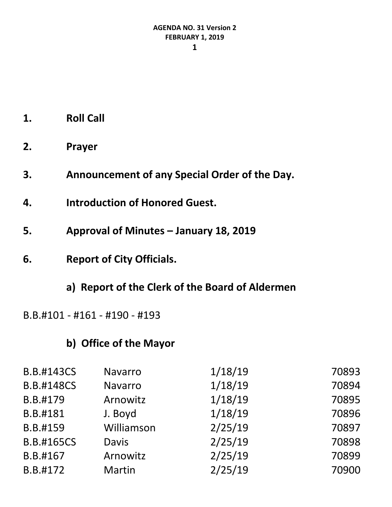- **1. Roll Call**
- **2. Prayer**
- **3. Announcement of any Special Order of the Day.**
- **4. Introduction of Honored Guest.**
- **5. Approval of Minutes – January 18, 2019**
- **6. Report of City Officials.**
	- **a) Report of the Clerk of the Board of Aldermen**

B.B.#101 - #161 - #190 - #193

# **b) Office of the Mayor**

| <b>B.B.#143CS</b> | Navarro       | 1/18/19 | 70893 |
|-------------------|---------------|---------|-------|
| <b>B.B.#148CS</b> | Navarro       | 1/18/19 | 70894 |
| B.B.#179          | Arnowitz      | 1/18/19 | 70895 |
| B.B.#181          | J. Boyd       | 1/18/19 | 70896 |
| B.B.#159          | Williamson    | 2/25/19 | 70897 |
| <b>B.B.#165CS</b> | <b>Davis</b>  | 2/25/19 | 70898 |
| B.B.#167          | Arnowitz      | 2/25/19 | 70899 |
| B.B.#172          | <b>Martin</b> | 2/25/19 | 70900 |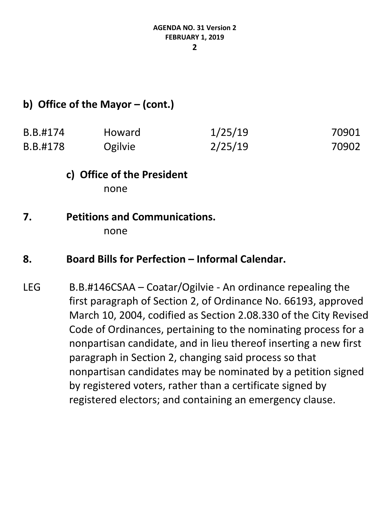#### **2**

# **b) Office of the Mayor – (cont.)**

| B.B.#174 | <b>Howard</b> | 1/25/19 | 70901 |
|----------|---------------|---------|-------|
| B.B.#178 | Ogilvie       | 2/25/19 | 70902 |

# **c) Office of the President**

none

#### **7. Petitions and Communications.** none

#### **8. Board Bills for Perfection – Informal Calendar.**

LEG B.B.#146CSAA – Coatar/Ogilvie - An ordinance repealing the first paragraph of Section 2, of Ordinance No. 66193, approved March 10, 2004, codified as Section 2.08.330 of the City Revised Code of Ordinances, pertaining to the nominating process for a nonpartisan candidate, and in lieu thereof inserting a new first paragraph in Section 2, changing said process so that nonpartisan candidates may be nominated by a petition signed by registered voters, rather than a certificate signed by registered electors; and containing an emergency clause.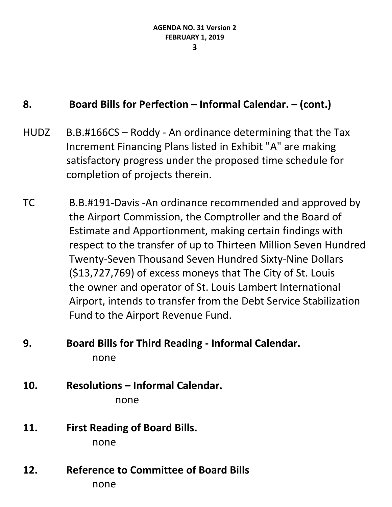#### **8. Board Bills for Perfection – Informal Calendar. – (cont.)**

- HUDZ B.B.#166CS Roddy An ordinance determining that the Tax Increment Financing Plans listed in Exhibit "A" are making satisfactory progress under the proposed time schedule for completion of projects therein.
- TC B.B.#191-Davis -An ordinance recommended and approved by the Airport Commission, the Comptroller and the Board of Estimate and Apportionment, making certain findings with respect to the transfer of up to Thirteen Million Seven Hundred Twenty-Seven Thousand Seven Hundred Sixty-Nine Dollars (\$13,727,769) of excess moneys that The City of St. Louis the owner and operator of St. Louis Lambert International Airport, intends to transfer from the Debt Service Stabilization Fund to the Airport Revenue Fund.

# **9. Board Bills for Third Reading - Informal Calendar.** none

**10. Resolutions – Informal Calendar.**

none

- **11. First Reading of Board Bills.** none
- **12. Reference to Committee of Board Bills** none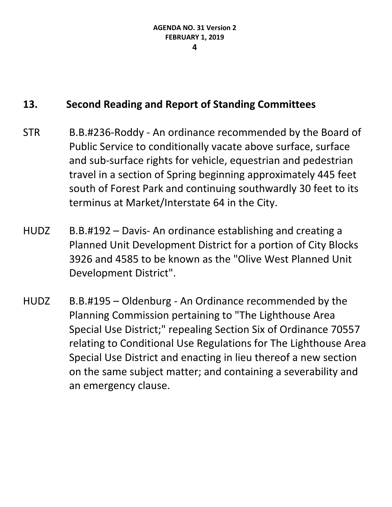- STR B.B.#236-Roddy An ordinance recommended by the Board of Public Service to conditionally vacate above surface, surface and sub-surface rights for vehicle, equestrian and pedestrian travel in a section of Spring beginning approximately 445 feet south of Forest Park and continuing southwardly 30 feet to its terminus at Market/Interstate 64 in the City.
- HUDZ B.B.#192 Davis- An ordinance establishing and creating a Planned Unit Development District for a portion of City Blocks 3926 and 4585 to be known as the "Olive West Planned Unit Development District".
- HUDZ B.B.#195 Oldenburg An Ordinance recommended by the Planning Commission pertaining to "The Lighthouse Area Special Use District;" repealing Section Six of Ordinance 70557 relating to Conditional Use Regulations for The Lighthouse Area Special Use District and enacting in lieu thereof a new section on the same subject matter; and containing a severability and an emergency clause.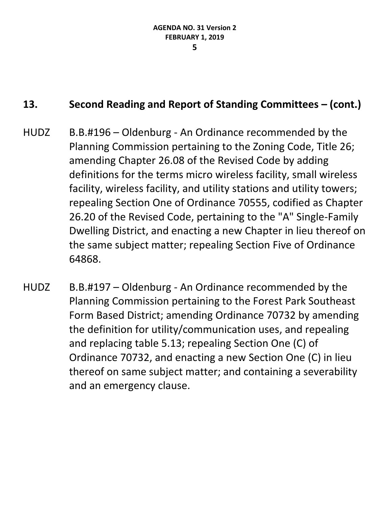- HUDZ B.B.#196 Oldenburg An Ordinance recommended by the Planning Commission pertaining to the Zoning Code, Title 26; amending Chapter 26.08 of the Revised Code by adding definitions for the terms micro wireless facility, small wireless facility, wireless facility, and utility stations and utility towers; repealing Section One of Ordinance 70555, codified as Chapter 26.20 of the Revised Code, pertaining to the "A" Single-Family Dwelling District, and enacting a new Chapter in lieu thereof on the same subject matter; repealing Section Five of Ordinance 64868.
- HUDZ B.B.#197 Oldenburg An Ordinance recommended by the Planning Commission pertaining to the Forest Park Southeast Form Based District; amending Ordinance 70732 by amending the definition for utility/communication uses, and repealing and replacing table 5.13; repealing Section One (C) of Ordinance 70732, and enacting a new Section One (C) in lieu thereof on same subject matter; and containing a severability and an emergency clause.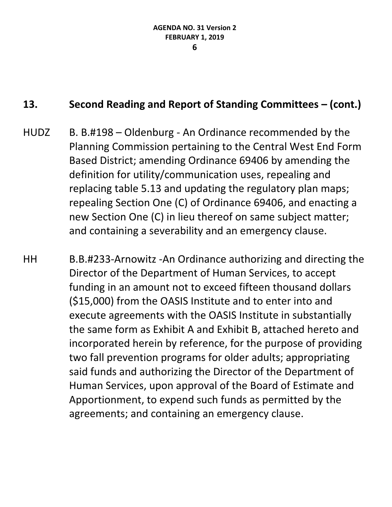- HUDZ B. B.#198 Oldenburg An Ordinance recommended by the Planning Commission pertaining to the Central West End Form Based District; amending Ordinance 69406 by amending the definition for utility/communication uses, repealing and replacing table 5.13 and updating the regulatory plan maps; repealing Section One (C) of Ordinance 69406, and enacting a new Section One (C) in lieu thereof on same subject matter; and containing a severability and an emergency clause.
- HH B.B.#233-Arnowitz -An Ordinance authorizing and directing the Director of the Department of Human Services, to accept funding in an amount not to exceed fifteen thousand dollars (\$15,000) from the OASIS Institute and to enter into and execute agreements with the OASIS Institute in substantially the same form as Exhibit A and Exhibit B, attached hereto and incorporated herein by reference, for the purpose of providing two fall prevention programs for older adults; appropriating said funds and authorizing the Director of the Department of Human Services, upon approval of the Board of Estimate and Apportionment, to expend such funds as permitted by the agreements; and containing an emergency clause.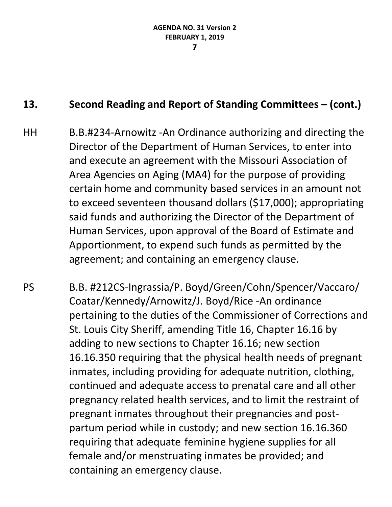- HH B.B.#234-Arnowitz -An Ordinance authorizing and directing the Director of the Department of Human Services, to enter into and execute an agreement with the Missouri Association of Area Agencies on Aging (MA4) for the purpose of providing certain home and community based services in an amount not to exceed seventeen thousand dollars (\$17,000); appropriating said funds and authorizing the Director of the Department of Human Services, upon approval of the Board of Estimate and Apportionment, to expend such funds as permitted by the agreement; and containing an emergency clause.
- PS B.B. #212CS-Ingrassia/P. Boyd/Green/Cohn/Spencer/Vaccaro/ Coatar/Kennedy/Arnowitz/J. Boyd/Rice -An ordinance pertaining to the duties of the Commissioner of Corrections and St. Louis City Sheriff, amending Title 16, Chapter 16.16 by adding to new sections to Chapter 16.16; new section 16.16.350 requiring that the physical health needs of pregnant inmates, including providing for adequate nutrition, clothing, continued and adequate access to prenatal care and all other pregnancy related health services, and to limit the restraint of pregnant inmates throughout their pregnancies and postpartum period while in custody; and new section 16.16.360 requiring that adequate feminine hygiene supplies for all female and/or menstruating inmates be provided; and containing an emergency clause.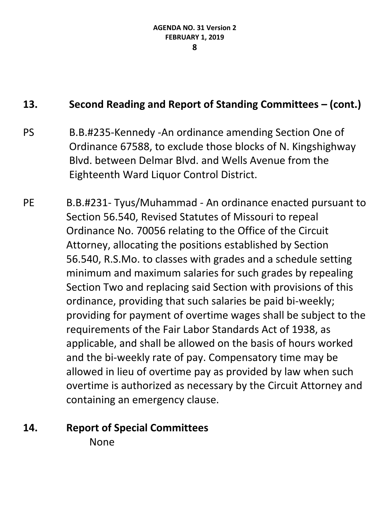- PS B.B.#235-Kennedy -An ordinance amending Section One of Ordinance 67588, to exclude those blocks of N. Kingshighway Blvd. between Delmar Blvd. and Wells Avenue from the Eighteenth Ward Liquor Control District.
- PE B.B.#231- Tyus/Muhammad An ordinance enacted pursuant to Section 56.540, Revised Statutes of Missouri to repeal Ordinance No. 70056 relating to the Office of the Circuit Attorney, allocating the positions established by Section 56.540, [R.S.Mo.](https://urldefense.proofpoint.com/v2/url?u=http-3A__R.S.Mo&d=DwMFaQ&c=jGUuvAdBXp_VqQ6t0yah2g&r=klzKtApNfCjuXf7LrMlPDWKXDZqvX1cRbgexjDXEqro&m=tH9Vaen2pewlfXn2a424L1Pq-ev2Du1QP9Cpv6AeQsw&s=r19C_Qb08iiaz9rxK7eQXFw-jYjU_NuFVdagZJkoTVU&e=) to classes with grades and a schedule setting minimum and maximum salaries for such grades by repealing Section Two and replacing said Section with provisions of this ordinance, providing that such salaries be paid bi-weekly; providing for payment of overtime wages shall be subject to the requirements of the Fair Labor Standards Act of 1938, as applicable, and shall be allowed on the basis of hours worked and the bi-weekly rate of pay. Compensatory time may be allowed in lieu of overtime pay as provided by law when such overtime is authorized as necessary by the Circuit Attorney and containing an emergency clause.

# **14. Report of Special Committees**

None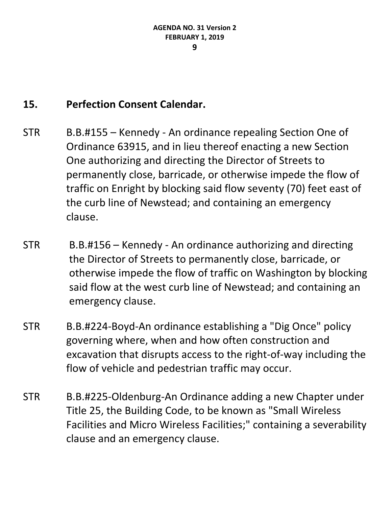# **15. Perfection Consent Calendar.**

- STR B.B.#155 Kennedy An ordinance repealing Section One of Ordinance 63915, and in lieu thereof enacting a new Section One authorizing and directing the Director of Streets to permanently close, barricade, or otherwise impede the flow of traffic on Enright by blocking said flow seventy (70) feet east of the curb line of Newstead; and containing an emergency clause.
- STR B.B.#156 Kennedy An ordinance authorizing and directing the Director of Streets to permanently close, barricade, or otherwise impede the flow of traffic on Washington by blocking said flow at the west curb line of Newstead; and containing an emergency clause.
- STR B.B.#224-Boyd-An ordinance establishing a "Dig Once" policy governing where, when and how often construction and excavation that disrupts access to the right-of-way including the flow of vehicle and pedestrian traffic may occur.
- STR B.B.#225-Oldenburg-An Ordinance adding a new Chapter under Title 25, the Building Code, to be known as "Small Wireless Facilities and Micro Wireless Facilities;" containing a severability clause and an emergency clause.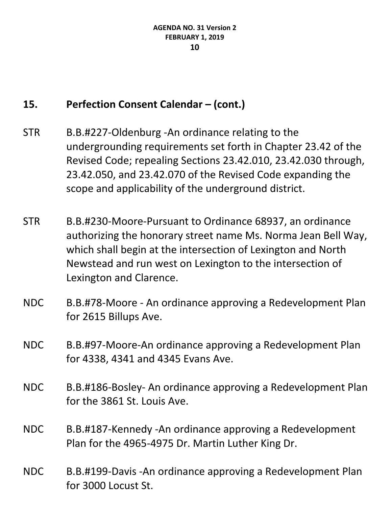- STR B.B.#227-Oldenburg -An ordinance relating to the undergrounding requirements set forth in Chapter 23.42 of the Revised Code; repealing Sections 23.42.010, 23.42.030 through, 23.42.050, and 23.42.070 of the Revised Code expanding the scope and applicability of the underground district.
- STR B.B.#230-Moore-Pursuant to Ordinance 68937, an ordinance authorizing the honorary street name Ms. Norma Jean Bell Way, which shall begin at the intersection of Lexington and North Newstead and run west on Lexington to the intersection of Lexington and Clarence.
- NDC B.B.#78-Moore An ordinance approving a Redevelopment Plan for 2615 Billups Ave.
- NDC B.B.#97-Moore-An ordinance approving a Redevelopment Plan for 4338, 4341 and 4345 Evans Ave.
- NDC B.B.#186-Bosley- An ordinance approving a Redevelopment Plan for the 3861 St. Louis Ave.
- NDC B.B.#187-Kennedy -An ordinance approving a Redevelopment Plan for the 4965-4975 Dr. Martin Luther King Dr.
- NDC B.B.#199-Davis -An ordinance approving a Redevelopment Plan for 3000 Locust St.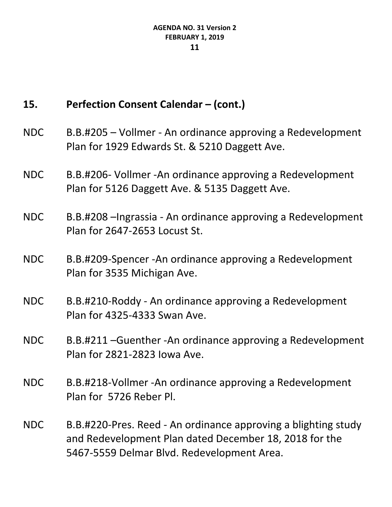- NDC B.B.#205 Vollmer An ordinance approving a Redevelopment Plan for 1929 Edwards St. & 5210 Daggett Ave.
- NDC B.B.#206- Vollmer -An ordinance approving a Redevelopment Plan for 5126 Daggett Ave. & 5135 Daggett Ave.
- NDC B.B.#208 –Ingrassia An ordinance approving a Redevelopment Plan for 2647-2653 Locust St.
- NDC B.B.#209-Spencer -An ordinance approving a Redevelopment Plan for 3535 Michigan Ave.
- NDC B.B.#210-Roddy An ordinance approving a Redevelopment Plan for 4325-4333 Swan Ave.
- NDC B.B.#211 –Guenther -An ordinance approving a Redevelopment Plan for 2821-2823 Iowa Ave.
- NDC B.B.#218-Vollmer -An ordinance approving a Redevelopment Plan for 5726 Reber Pl.
- NDC B.B.#220-Pres. Reed An ordinance approving a blighting study and Redevelopment Plan dated December 18, 2018 for the 5467-5559 Delmar Blvd. Redevelopment Area.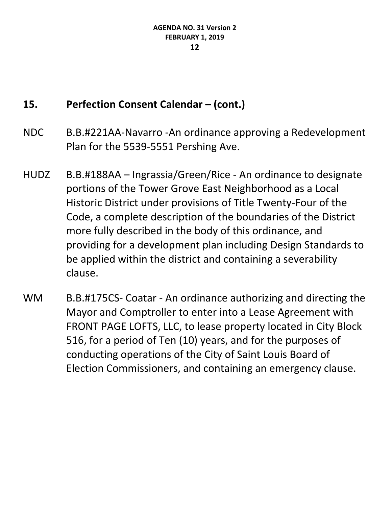- NDC B.B.#221AA-Navarro -An ordinance approving a Redevelopment Plan for the 5539-5551 Pershing Ave.
- HUDZ B.B.#188AA Ingrassia/Green/Rice An ordinance to designate portions of the Tower Grove East Neighborhood as a Local Historic District under provisions of Title Twenty-Four of the Code, a complete description of the boundaries of the District more fully described in the body of this ordinance, and providing for a development plan including Design Standards to be applied within the district and containing a severability clause.
- WM B.B.#175CS- Coatar An ordinance authorizing and directing the Mayor and Comptroller to enter into a Lease Agreement with FRONT PAGE LOFTS, LLC, to lease property located in City Block 516, for a period of Ten (10) years, and for the purposes of conducting operations of the City of Saint Louis Board of Election Commissioners, and containing an emergency clause.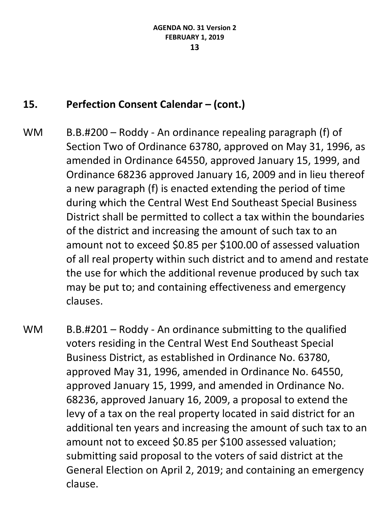- WM B.B.#200 Roddy An ordinance repealing paragraph (f) of Section Two of Ordinance 63780, approved on May 31, 1996, as amended in Ordinance 64550, approved January 15, 1999, and Ordinance 68236 approved January 16, 2009 and in lieu thereof a new paragraph (f) is enacted extending the period of time during which the Central West End Southeast Special Business District shall be permitted to collect a tax within the boundaries of the district and increasing the amount of such tax to an amount not to exceed \$0.85 per \$100.00 of assessed valuation of all real property within such district and to amend and restate the use for which the additional revenue produced by such tax may be put to; and containing effectiveness and emergency clauses.
- WM B.B.#201 Roddy An ordinance submitting to the qualified voters residing in the Central West End Southeast Special Business District, as established in Ordinance No. 63780, approved May 31, 1996, amended in Ordinance No. 64550, approved January 15, 1999, and amended in Ordinance No. 68236, approved January 16, 2009, a proposal to extend the levy of a tax on the real property located in said district for an additional ten years and increasing the amount of such tax to an amount not to exceed \$0.85 per \$100 assessed valuation; submitting said proposal to the voters of said district at the General Election on April 2, 2019; and containing an emergency clause.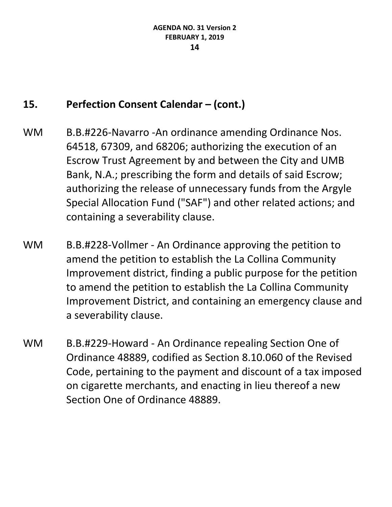- WM B.B.#226-Navarro -An ordinance amending Ordinance Nos. 64518, 67309, and 68206; authorizing the execution of an Escrow Trust Agreement by and between the City and UMB Bank, N.A.; prescribing the form and details of said Escrow; authorizing the release of unnecessary funds from the Argyle Special Allocation Fund ("SAF") and other related actions; and containing a severability clause.
- WM B.B.#228-Vollmer An Ordinance approving the petition to amend the petition to establish the La Collina Community Improvement district, finding a public purpose for the petition to amend the petition to establish the La Collina Community Improvement District, and containing an emergency clause and a severability clause.
- WM B.B.#229-Howard An Ordinance repealing Section One of Ordinance 48889, codified as Section 8.10.060 of the Revised Code, pertaining to the payment and discount of a tax imposed on cigarette merchants, and enacting in lieu thereof a new Section One of Ordinance 48889.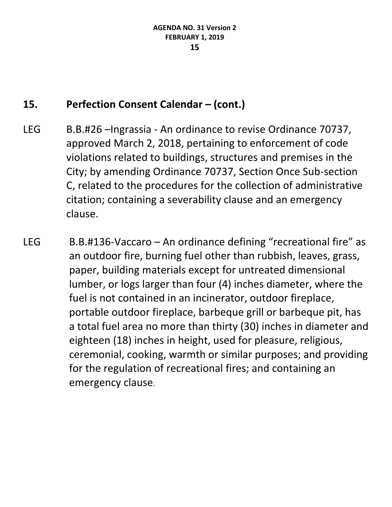- LEG B.B.#26 –Ingrassia An ordinance to revise Ordinance 70737, approved March 2, 2018, pertaining to enforcement of code violations related to buildings, structures and premises in the City; by amending Ordinance 70737, Section Once Sub-section C, related to the procedures for the collection of administrative citation; containing a severability clause and an emergency clause.
- LEG B.B.#136-Vaccaro An ordinance defining "recreational fire" as an outdoor fire, burning fuel other than rubbish, leaves, grass, paper, building materials except for untreated dimensional lumber, or logs larger than four (4) inches diameter, where the fuel is not contained in an incinerator, outdoor fireplace, portable outdoor fireplace, barbeque grill or barbeque pit, has a total fuel area no more than thirty (30) inches in diameter and eighteen (18) inches in height, used for pleasure, religious, ceremonial, cooking, warmth or similar purposes; and providing for the regulation of recreational fires; and containing an emergency clause.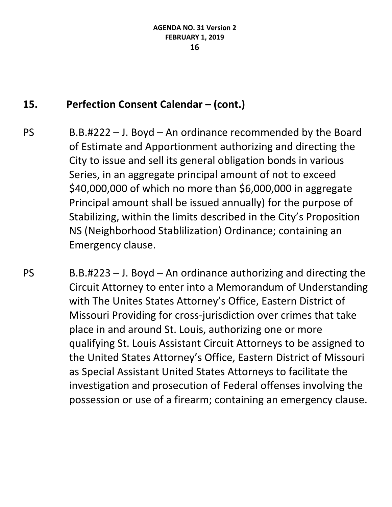- PS B.B.#222 J. Boyd An ordinance recommended by the Board of Estimate and Apportionment authorizing and directing the City to issue and sell its general obligation bonds in various Series, in an aggregate principal amount of not to exceed \$40,000,000 of which no more than \$6,000,000 in aggregate Principal amount shall be issued annually) for the purpose of Stabilizing, within the limits described in the City's Proposition NS (Neighborhood Stablilization) Ordinance; containing an Emergency clause.
- $PS$  B.B.#223 J. Boyd An ordinance authorizing and directing the Circuit Attorney to enter into a Memorandum of Understanding with The Unites States Attorney's Office, Eastern District of Missouri Providing for cross-jurisdiction over crimes that take place in and around St. Louis, authorizing one or more qualifying St. Louis Assistant Circuit Attorneys to be assigned to the United States Attorney's Office, Eastern District of Missouri as Special Assistant United States Attorneys to facilitate the investigation and prosecution of Federal offenses involving the possession or use of a firearm; containing an emergency clause.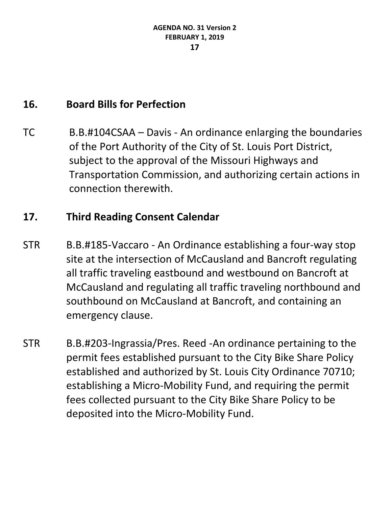# **16. Board Bills for Perfection**

TC B.B.#104CSAA – Davis - An ordinance enlarging the boundaries of the Port Authority of the City of St. Louis Port District, subject to the approval of the Missouri Highways and Transportation Commission, and authorizing certain actions in connection therewith.

#### **17. Third Reading Consent Calendar**

- STR B.B.#185-Vaccaro An Ordinance establishing a four-way stop site at the intersection of McCausland and Bancroft regulating all traffic traveling eastbound and westbound on Bancroft at McCausland and regulating all traffic traveling northbound and southbound on McCausland at Bancroft, and containing an emergency clause.
- STR B.B.#203-Ingrassia/Pres. Reed -An ordinance pertaining to the permit fees established pursuant to the City Bike Share Policy established and authorized by St. Louis City Ordinance 70710; establishing a Micro-Mobility Fund, and requiring the permit fees collected pursuant to the City Bike Share Policy to be deposited into the Micro-Mobility Fund.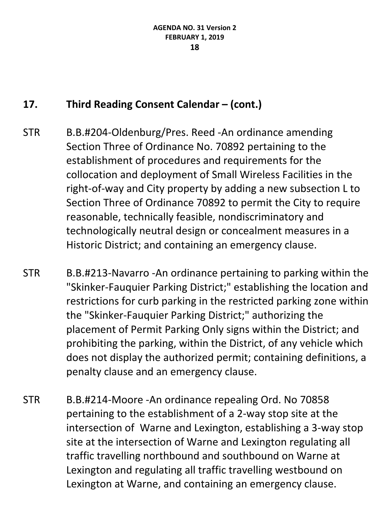# **17. Third Reading Consent Calendar – (cont.)**

- STR B.B.#204-Oldenburg/Pres. Reed -An ordinance amending Section Three of Ordinance No. 70892 pertaining to the establishment of procedures and requirements for the collocation and deployment of Small Wireless Facilities in the right-of-way and City property by adding a new subsection L to Section Three of Ordinance 70892 to permit the City to require reasonable, technically feasible, nondiscriminatory and technologically neutral design or concealment measures in a Historic District; and containing an emergency clause.
- STR B.B.#213-Navarro -An ordinance pertaining to parking within the "Skinker-Fauquier Parking District;" establishing the location and restrictions for curb parking in the restricted parking zone within the "Skinker-Fauquier Parking District;" authorizing the placement of Permit Parking Only signs within the District; and prohibiting the parking, within the District, of any vehicle which does not display the authorized permit; containing definitions, a penalty clause and an emergency clause.
- STR B.B.#214-Moore -An ordinance repealing Ord. No 70858 pertaining to the establishment of a 2-way stop site at the intersection of Warne and Lexington, establishing a 3-way stop site at the intersection of Warne and Lexington regulating all traffic travelling northbound and southbound on Warne at Lexington and regulating all traffic travelling westbound on Lexington at Warne, and containing an emergency clause.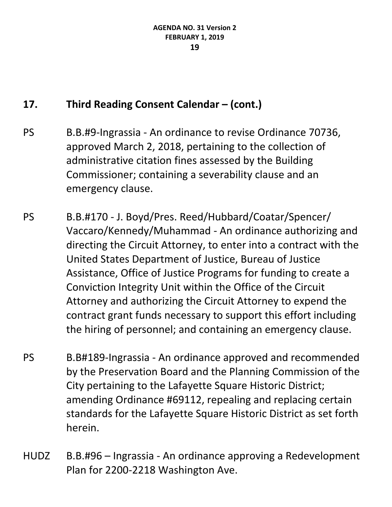# **17. Third Reading Consent Calendar – (cont.)**

- PS B.B.#9-Ingrassia An ordinance to revise Ordinance 70736, approved March 2, 2018, pertaining to the collection of administrative citation fines assessed by the Building Commissioner; containing a severability clause and an emergency clause.
- PS B.B.#170 J. Boyd/Pres. Reed/Hubbard/Coatar/Spencer/ Vaccaro/Kennedy/Muhammad - An ordinance authorizing and directing the Circuit Attorney, to enter into a contract with the United States Department of Justice, Bureau of Justice Assistance, Office of Justice Programs for funding to create a Conviction Integrity Unit within the Office of the Circuit Attorney and authorizing the Circuit Attorney to expend the contract grant funds necessary to support this effort including the hiring of personnel; and containing an emergency clause.
- PS B.B#189-Ingrassia An ordinance approved and recommended by the Preservation Board and the Planning Commission of the City pertaining to the Lafayette Square Historic District; amending Ordinance #69112, repealing and replacing certain standards for the Lafayette Square Historic District as set forth herein.
- HUDZ B.B.#96 Ingrassia An ordinance approving a Redevelopment Plan for 2200-2218 Washington Ave.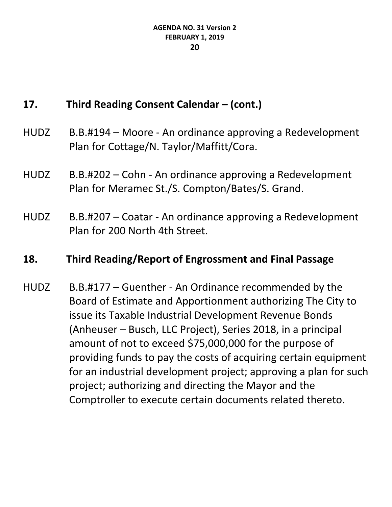# **17. Third Reading Consent Calendar – (cont.)**

- HUDZ B.B.#194 Moore An ordinance approving a Redevelopment Plan for Cottage/N. Taylor/Maffitt/Cora.
- HUDZ B.B.#202 Cohn An ordinance approving a Redevelopment Plan for Meramec St./S. Compton/Bates/S. Grand.
- HUDZ B.B.#207 Coatar An ordinance approving a Redevelopment Plan for 200 North 4th Street.

#### **18. Third Reading/Report of Engrossment and Final Passage**

HUDZ B.B.#177 – Guenther - An Ordinance recommended by the Board of Estimate and Apportionment authorizing The City to issue its Taxable Industrial Development Revenue Bonds (Anheuser – Busch, LLC Project), Series 2018, in a principal amount of not to exceed \$75,000,000 for the purpose of providing funds to pay the costs of acquiring certain equipment for an industrial development project; approving a plan for such project; authorizing and directing the Mayor and the Comptroller to execute certain documents related thereto.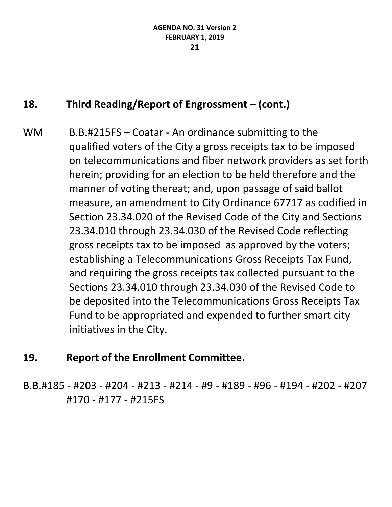# **18. Third Reading/Report of Engrossment – (cont.)**

WM B.B.#215FS – Coatar - An ordinance submitting to the qualified voters of the City a gross receipts tax to be imposed on telecommunications and fiber network providers as set forth herein; providing for an election to be held therefore and the manner of voting thereat; and, upon passage of said ballot measure, an amendment to City Ordinance 67717 as codified in Section 23.34.020 of the Revised Code of the City and Sections 23.34.010 through 23.34.030 of the Revised Code reflecting gross receipts tax to be imposed as approved by the voters; establishing a Telecommunications Gross Receipts Tax Fund, and requiring the gross receipts tax collected pursuant to the Sections 23.34.010 through 23.34.030 of the Revised Code to be deposited into the Telecommunications Gross Receipts Tax Fund to be appropriated and expended to further smart city initiatives in the City.

# **19. Report of the Enrollment Committee.**

B.B.#185 - #203 - #204 - #213 - #214 - #9 - #189 - #96 - #194 - #202 - #207 #170 - #177 - #215FS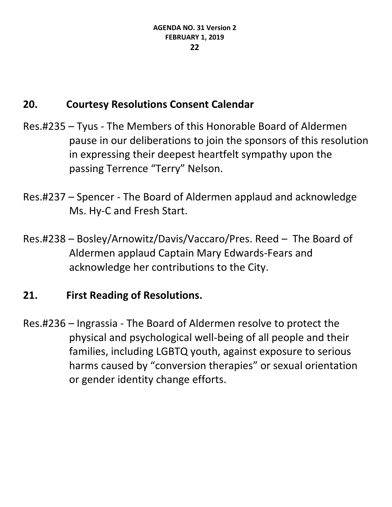# **20. Courtesy Resolutions Consent Calendar**

- Res.#235 Tyus The Members of this Honorable Board of Aldermen pause in our deliberations to join the sponsors of this resolution in expressing their deepest heartfelt sympathy upon the passing Terrence "Terry" Nelson.
- Res.#237 Spencer The Board of Aldermen applaud and acknowledge Ms. Hy-C and Fresh Start.
- Res.#238 Bosley/Arnowitz/Davis/Vaccaro/Pres. Reed The Board of Aldermen applaud Captain Mary Edwards-Fears and acknowledge her contributions to the City.

# **21. First Reading of Resolutions.**

Res.#236 – Ingrassia - The Board of Aldermen resolve to protect the physical and psychological well-being of all people and their families, including LGBTQ youth, against exposure to serious harms caused by "conversion therapies" or sexual orientation or gender identity change efforts.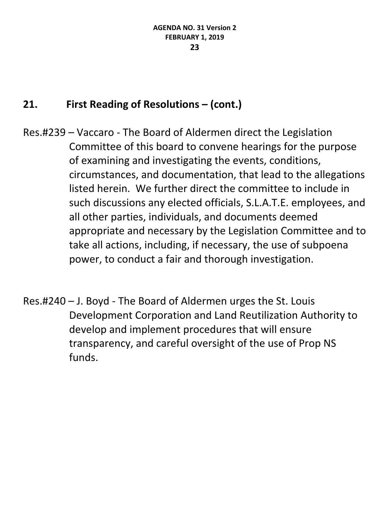# **21. First Reading of Resolutions – (cont.)**

- Res.#239 Vaccaro The Board of Aldermen direct the Legislation Committee of this board to convene hearings for the purpose of examining and investigating the events, conditions, circumstances, and documentation, that lead to the allegations listed herein. We further direct the committee to include in such discussions any elected officials, S.L.A.T.E. employees, and all other parties, individuals, and documents deemed appropriate and necessary by the Legislation Committee and to take all actions, including, if necessary, the use of subpoena power, to conduct a fair and thorough investigation.
- Res.#240 J. Boyd The Board of Aldermen urges the St. Louis Development Corporation and Land Reutilization Authority to develop and implement procedures that will ensure transparency, and careful oversight of the use of Prop NS funds.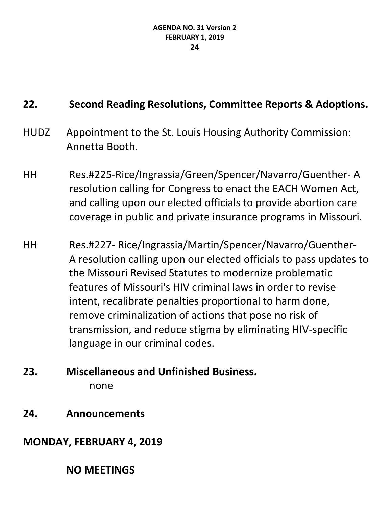# **22. Second Reading Resolutions, Committee Reports & Adoptions.**

- HUDZ Appointment to the St. Louis Housing Authority Commission: Annetta Booth.
- HH Res.#225-Rice/Ingrassia/Green/Spencer/Navarro/Guenther- A resolution calling for Congress to enact the EACH Women Act, and calling upon our elected officials to provide abortion care coverage in public and private insurance programs in Missouri.
- HH Res.#227- Rice/Ingrassia/Martin/Spencer/Navarro/Guenther-A resolution calling upon our elected officials to pass updates to the Missouri Revised Statutes to modernize problematic features of Missouri's HIV criminal laws in order to revise intent, recalibrate penalties proportional to harm done, remove criminalization of actions that pose no risk of transmission, and reduce stigma by eliminating HIV-specific language in our criminal codes.
- **23. Miscellaneous and Unfinished Business.** none
- **24. Announcements**

# **MONDAY, FEBRUARY 4, 2019**

# **NO MEETINGS**